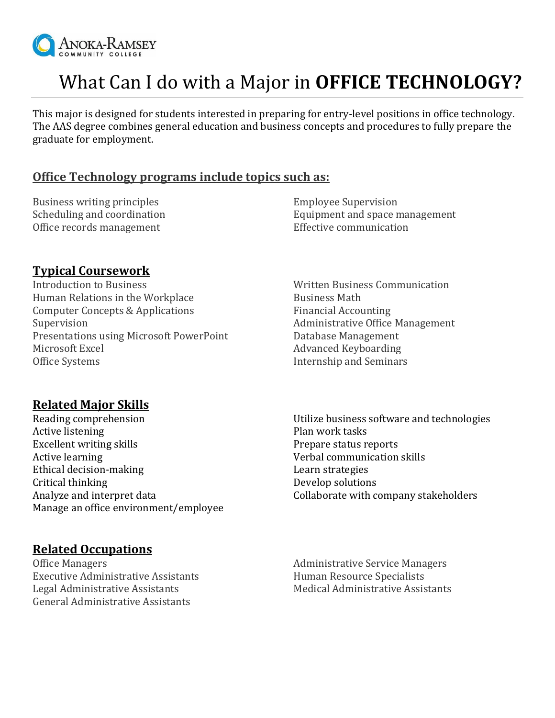

# What Can I do with a Major in **OFFICE TECHNOLOGY?**

This major is designed for students interested in preparing for entry-level positions in office technology. The AAS degree combines general education and business concepts and procedures to fully prepare the graduate for employment.

#### **Office Technology programs include topics such as:**

Business writing principles Employee Supervision Office records management Effective communication

Scheduling and coordination Equipment and space management

### **Typical Coursework**

Introduction to Business Written Business Communication Human Relations in the Workplace **Business Math** Computer Concepts & Applications Financial Accounting Supervision **Administrative Office Management** Presentations using Microsoft PowerPoint Database Management Microsoft Excel **Advanced Keyboarding** Office Systems **Internship and Seminars** 

# **Related Major Skills**

Reading comprehension Active listening Excellent writing skills Active learning Ethical decision-making Critical thinking Analyze and interpret data Manage an office environment/employee

## **Related Occupations**

Office Managers **Administrative Service Managers** Administrative Service Managers Executive Administrative Assistants **Human Resource Specialists** Legal Administrative Assistants **Medical Administrative Assistants** Medical Administrative Assistants General Administrative Assistants

Utilize business software and technologies Plan work tasks Prepare status reports Verbal communication skills Learn strategies Develop solutions Collaborate with company stakeholders